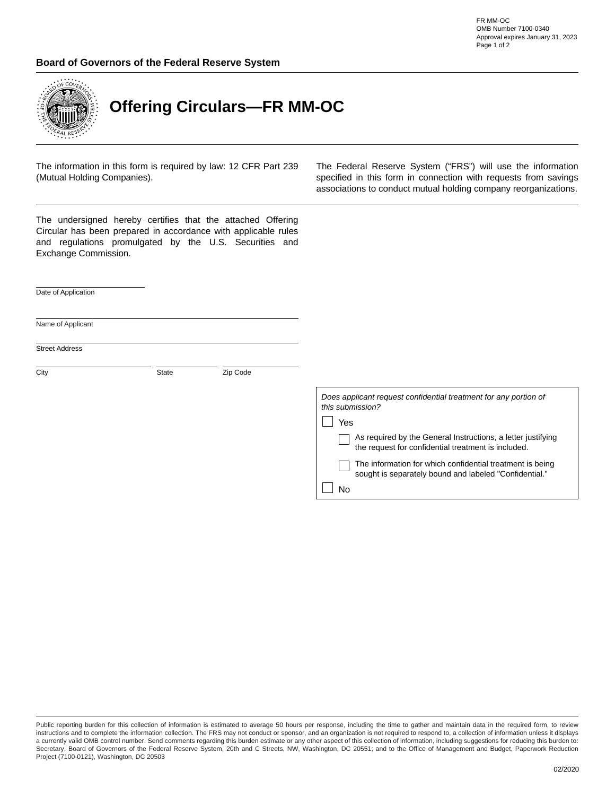## **Board of Governors of the Federal Reserve System**



## **Offering Circulars—FR MM-OC**

The information in this form is required by law: 12 CFR Part 239 (Mutual Holding Companies).

The Federal Reserve System ("FRS") will use the information specified in this form in connection with requests from savings associations to conduct mutual holding company reorganizations.

The undersigned hereby certifies that the attached Offering Circular has been prepared in accordance with applicable rules and regulations promulgated by the U.S. Securities and Exchange Commission.

 $\vert \blacktriangledown \vert$ 

Date of Application

Name of Applicant

City **State Zip Code** 

| this submission? | Does applicant request confidential treatment for any portion of                                                    |
|------------------|---------------------------------------------------------------------------------------------------------------------|
| Yes              |                                                                                                                     |
|                  | As required by the General Instructions, a letter justifying<br>the request for confidential treatment is included. |
|                  | The information for which confidential treatment is being<br>sought is separately bound and labeled "Confidential." |
|                  |                                                                                                                     |

Public reporting burden for this collection of information is estimated to average 50 hours per response, including the time to gather and maintain data in the required form, to review instructions and to complete the information collection. The FRS may not conduct or sponsor, and an organization is not required to respond to, a collection of information unless it displays a currently valid OMB control number. Send comments regarding this burden estimate or any other aspect of this collection of information, including suggestions for reducing this burden to: Secretary, Board of Governors of the Federal Reserve System, 20th and C Streets, NW, Washington, DC 20551; and to the Office of Management and Budget, Paperwork Reduction Project (7100-0121), Washington, DC 20503